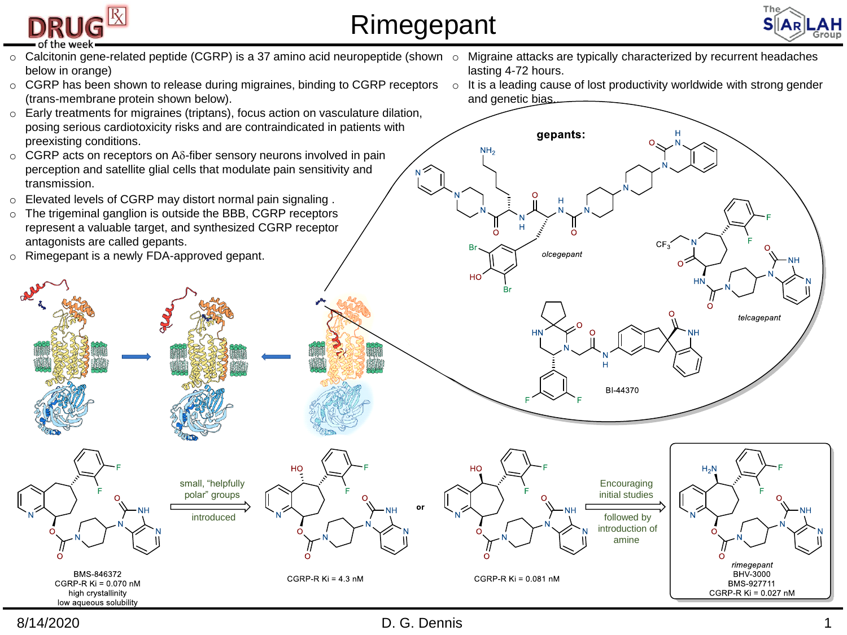

## Rimegepant



telcagepant

rimegepant

**BHV-3000** 

BMS-927711



8/14/2020 **D. G. Dennis D. G. Dennis D. G. Dennis 1**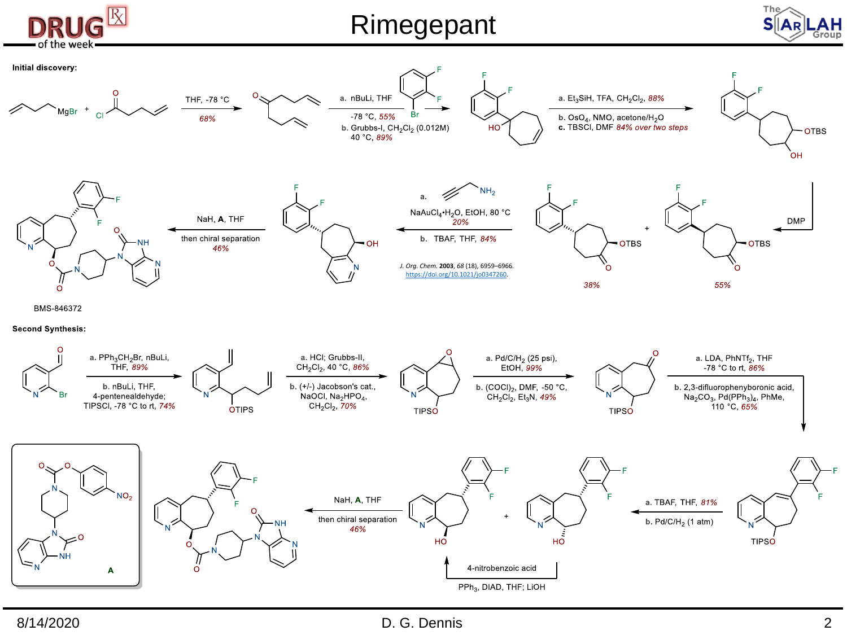

## Rimegepant